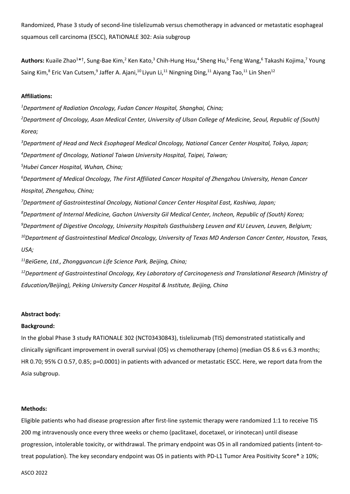Randomized, Phase 3 study of second-line tislelizumab versus chemotherapy in advanced or metastatic esophageal squamous cell carcinoma (ESCC), RATIONALE 302: Asia subgroup

Authors: Kuaile Zhao<sup>1\*†</sup>, Sung-Bae Kim,<sup>2</sup> Ken Kato,<sup>3</sup> Chih-Hung Hsu,<sup>4</sup> Sheng Hu,<sup>5</sup> Feng Wang,<sup>6</sup> Takashi Kojima,<sup>7</sup> Young Saing Kim,<sup>8</sup> Eric Van Cutsem,<sup>9</sup> Jaffer A. Ajani,<sup>10</sup> Liyun Li,<sup>11</sup> Ningning Ding,<sup>11</sup> Aiyang Tao,<sup>11</sup> Lin Shen<sup>12</sup>

### **Affiliations:**

*Department of Radiation Oncology, Fudan Cancer Hospital, Shanghai, China; Department of Oncology, Asan Medical Center, University of Ulsan College of Medicine, Seoul, Republic of (South) Korea; Department of Head and Neck Esophageal Medical Oncology, National Cancer Center Hospital, Tokyo, Japan;* 

*<sup>4</sup>Department of Oncology, National Taiwan University Hospital, Taipei, Taiwan;* 

*<sup>5</sup>Hubei Cancer Hospital, Wuhan, China;* 

*<sup>6</sup>Department of Medical Oncology, The First Affiliated Cancer Hospital of Zhengzhou University, Henan Cancer Hospital, Zhengzhou, China;* 

*Department of Gastrointestinal Oncology, National Cancer Center Hospital East, Kashiwa, Japan; Department of Internal Medicine, Gachon University Gil Medical Center, Incheon, Republic of (South) Korea; Department of Digestive Oncology, University Hospitals Gasthuisberg Leuven and KU Leuven, Leuven, Belgium; Department of Gastrointestinal Medical Oncology, University of Texas MD Anderson Cancer Center, Houston, Texas, USA;* 

*<sup>11</sup>BeiGene, Ltd., Zhongguancun Life Science Park, Beijing, China;* 

*<sup>12</sup>Department of Gastrointestinal Oncology, Key Laboratory of Carcinogenesis and Translational Research (Ministry of Education/Beijing), Peking University Cancer Hospital & Institute, Beijing, China* 

#### **Abstract body:**

#### **Background:**

In the global Phase 3 study RATIONALE 302 (NCT03430843), tislelizumab (TIS) demonstrated statistically and clinically significant improvement in overall survival (OS) vs chemotherapy (chemo) (median OS 8.6 vs 6.3 months; HR 0.70; 95% CI 0.57, 0.85; p=0.0001) in patients with advanced or metastatic ESCC. Here, we report data from the Asia subgroup.

# **Methods:**

Eligible patients who had disease progression after first-line systemic therapy were randomized 1:1 to receive TIS 200 mg intravenously once every three weeks or chemo (paclitaxel, docetaxel, or irinotecan) until disease progression, intolerable toxicity, or withdrawal. The primary endpoint was OS in all randomized patients (intent-totreat population). The key secondary endpoint was OS in patients with PD-L1 Tumor Area Positivity Score\* ≥ 10%;